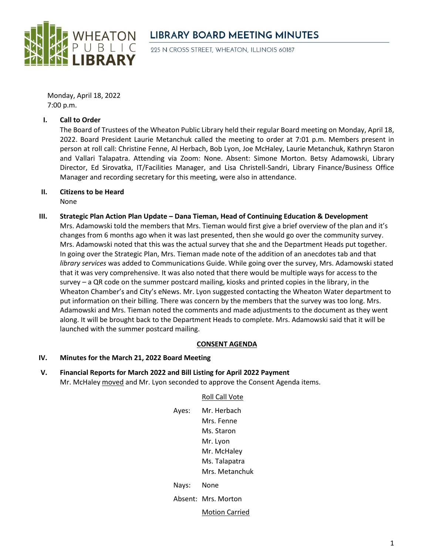

# **LIBRARY BOARD MEETING MINUTES**

225 N CROSS STREET, WHEATON, ILLINOIS 60187

Monday, April 18, 2022 7:00 p.m.

## **I. Call to Order**

The Board of Trustees of the Wheaton Public Library held their regular Board meeting on Monday, April 18, 2022. Board President Laurie Metanchuk called the meeting to order at 7:01 p.m. Members present in person at roll call: Christine Fenne, Al Herbach, Bob Lyon, Joe McHaley, Laurie Metanchuk, Kathryn Staron and Vallari Talapatra. Attending via Zoom: None. Absent: Simone Morton. Betsy Adamowski, Library Director, Ed Sirovatka, IT/Facilities Manager, and Lisa Christell-Sandri, Library Finance/Business Office Manager and recording secretary for this meeting, were also in attendance.

**II. Citizens to be Heard**

None

**III. Strategic Plan Action Plan Update – Dana Tieman, Head of Continuing Education & Development** Mrs. Adamowski told the members that Mrs. Tieman would first give a brief overview of the plan and it's changes from 6 months ago when it was last presented, then she would go over the community survey. Mrs. Adamowski noted that this was the actual survey that she and the Department Heads put together. In going over the Strategic Plan, Mrs. Tieman made note of the addition of an anecdotes tab and that *library services* was added to Communications Guide. While going over the survey, Mrs. Adamowski stated that it was very comprehensive. It was also noted that there would be multiple ways for access to the survey – a QR code on the summer postcard mailing, kiosks and printed copies in the library, in the Wheaton Chamber's and City's eNews. Mr. Lyon suggested contacting the Wheaton Water department to put information on their billing. There was concern by the members that the survey was too long. Mrs. Adamowski and Mrs. Tieman noted the comments and made adjustments to the document as they went along. It will be brought back to the Department Heads to complete. Mrs. Adamowski said that it will be launched with the summer postcard mailing.

# **CONSENT AGENDA**

#### **IV. Minutes for the March 21, 2022 Board Meeting**

**V. Financial Reports for March 2022 and Bill Listing for April 2022 Payment** Mr. McHaley moved and Mr. Lyon seconded to approve the Consent Agenda items.

# Roll Call Vote

| Ayes: | Mr. Herbach         |
|-------|---------------------|
|       | Mrs. Fenne          |
|       | Ms. Staron          |
|       | Mr. Lyon            |
|       | Mr. McHaley         |
|       | Ms. Talapatra       |
|       | Mrs. Metanchuk      |
| Nays: | None                |
|       | Absent: Mrs. Morton |
|       |                     |

Motion Carried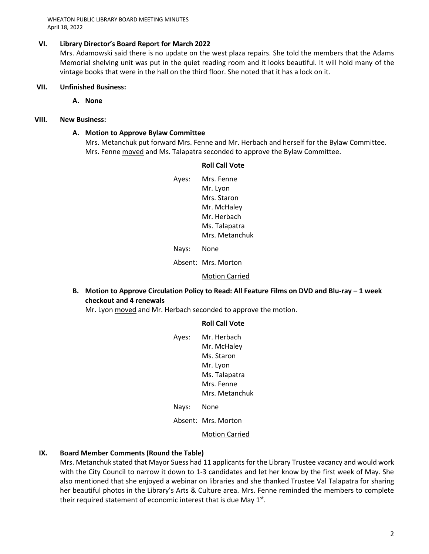WHEATON PUBLIC LIBRARY BOARD MEETING MINUTES April 18, 2022

## **VI. Library Director's Board Report for March 2022**

Mrs. Adamowski said there is no update on the west plaza repairs. She told the members that the Adams Memorial shelving unit was put in the quiet reading room and it looks beautiful. It will hold many of the vintage books that were in the hall on the third floor. She noted that it has a lock on it.

#### **VII. Unfinished Business:**

**A. None**

# **VIII. New Business:**

## **A. Motion to Approve Bylaw Committee**

Mrs. Metanchuk put forward Mrs. Fenne and Mr. Herbach and herself for the Bylaw Committee. Mrs. Fenne moved and Ms. Talapatra seconded to approve the Bylaw Committee.

## **Roll Call Vote**

| Ayes: | Mrs. Fenne     |
|-------|----------------|
|       | Mr. Lyon       |
|       | Mrs. Staron    |
|       | Mr. McHaley    |
|       | Mr. Herbach    |
|       | Ms. Talapatra  |
|       | Mrs. Metanchuk |
|       |                |

Nays: None

Absent: Mrs. Morton

#### Motion Carried

**B.** Motion to Approve Circulation Policy to Read: All Feature Films on DVD and Blu-ray – 1 week **checkout and 4 renewals**

Mr. Lyon moved and Mr. Herbach seconded to approve the motion.

#### **Roll Call Vote**

| Ayes: | Mr. Herbach    |
|-------|----------------|
|       | Mr. McHaley    |
|       | Ms. Staron     |
|       | Mr. Lyon       |
|       | Ms. Talapatra  |
|       | Mrs. Fenne     |
|       | Mrs. Metanchuk |
|       |                |

Nays: None

Absent: Mrs. Morton

Motion Carried

# **IX. Board Member Comments (Round the Table)**

Mrs. Metanchuk stated that Mayor Suess had 11 applicants for the Library Trustee vacancy and would work with the City Council to narrow it down to 1-3 candidates and let her know by the first week of May. She also mentioned that she enjoyed a webinar on libraries and she thanked Trustee Val Talapatra for sharing her beautiful photos in the Library's Arts & Culture area. Mrs. Fenne reminded the members to complete their required statement of economic interest that is due May  $1<sup>st</sup>$ .